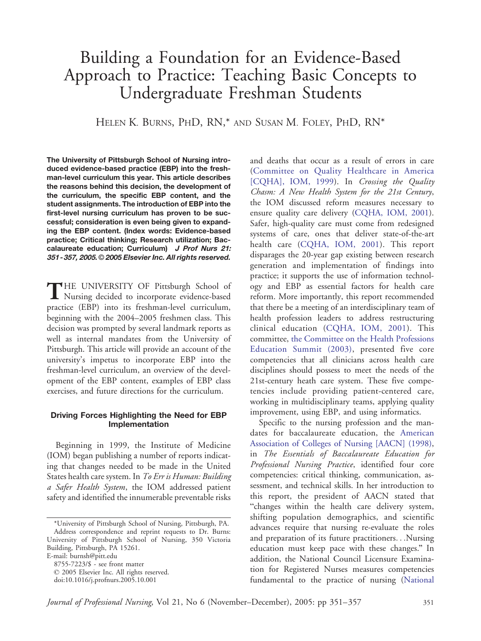# Building a Foundation for an Evidence-Based Approach to Practice: Teaching Basic Concepts to Undergraduate Freshman Students

HELEN K. BURNS, PHD, RN,\* AND SUSAN M. FOLEY, PHD, RN\*

The University of Pittsburgh School of Nursing introduced evidence-based practice (EBP) into the freshman-level curriculum this year. This article describes the reasons behind this decision, the development of the curriculum, the specific EBP content, and the student assignments. The introduction of EBP into the first-level nursing curriculum has proven to be successful; consideration is even being given to expanding the EBP content. (Index words: Evidence-based practice; Critical thinking; Research utilization; Baccalaureate education; Curriculum) J Prof Nurs 21: 351-357, 2005. 2005 Elsevier Inc. All rights reserved.

THE UNIVERSITY OF Pittsburgh School of<br>Nursing decided to incorporate evidence-based practice (EBP) into its freshman-level curriculum, beginning with the 2004–2005 freshmen class. This decision was prompted by several landmark reports as well as internal mandates from the University of Pittsburgh. This article will provide an account of the university's impetus to incorporate EBP into the freshman-level curriculum, an overview of the development of the EBP content, examples of EBP class exercises, and future directions for the curriculum.

## Driving Forces Highlighting the Need for EBP Implementation

Beginning in 1999, the Institute of Medicine (IOM) began publishing a number of reports indicating that changes needed to be made in the United States health care system. In To Err is Human: Building a Safer Health System, the IOM addressed patient safety and identified the innumerable preventable risks

and deaths that occur as a result of errors in care ([Committee](#page-5-0) [on](#page-5-0) [Quality](#page-5-0) [Healthcare](#page-5-0) [in](#page-5-0) [America](#page-5-0) [CQHA], IOM, 1999). In Crossing the Quality Chasm: A New Health System for the 21st Century, the IOM discussed reform measures necessary to ensure quality care delivery ([CQHA,](#page-5-0) [IOM,](#page-5-0) [2001\).](#page-5-0) Safer, high-quality care must come from redesigned systems of care, ones that deliver state-of-the-art health care ([CQHA,](#page-5-0) [IOM,](#page-5-0) [2001\).](#page-5-0) This report disparages the 20-year gap existing between research generation and implementation of findings into practice; it supports the use of information technology and EBP as essential factors for health care reform. More importantly, this report recommended that there be a meeting of an interdisciplinary team of health profession leaders to address restructuring clinical education ([CQHA,](#page-5-0) [IOM,](#page-5-0) [2001\).](#page-5-0) This committee, t[he](#page-5-0) [Committee](#page-5-0) [on](#page-5-0) [the](#page-5-0) [Health](#page-5-0) [Professions](#page-5-0) Education Summit (2003), presented five core competencies that all clinicians across health care disciplines should possess to meet the needs of the 21st-century heath care system. These five competencies include providing patient-centered care, working in multidisciplinary teams, applying quality improvement, using EBP, and using informatics.

Specific to the nursing profession and the mandates for baccalaureate education, the [American](#page-5-0) Association of Colleges of Nursing [AACN] (1998), in The Essentials of Baccalaureate Education for Professional Nursing Practice, identified four core competencies: critical thinking, communication, assessment, and technical skills. In her introduction to this report, the president of AACN stated that "changes within the health care delivery system, shifting population demographics, and scientific advances require that nursing re-evaluate the roles and preparation of its future practitioners...Nursing education must keep pace with these changes." In addition, the National Council Licensure Examination for Registered Nurses measures competencies fundamental to the practice of nursing ([National](#page-6-0)

<sup>\*</sup>University of Pittsburgh School of Nursing, Pittsburgh, PA. Address correspondence and reprint requests to Dr. Burns: University of Pittsburgh School of Nursing, 350 Victoria Building, Pittsburgh, PA 15261. E-mail: burnsh@pitt.edu

<sup>8755-7223/\$ -</sup> see front matter

 $© 2005 Elsevier Inc. All rights reserved.$ 

doi:10.1016/j.profnurs.2005.10.001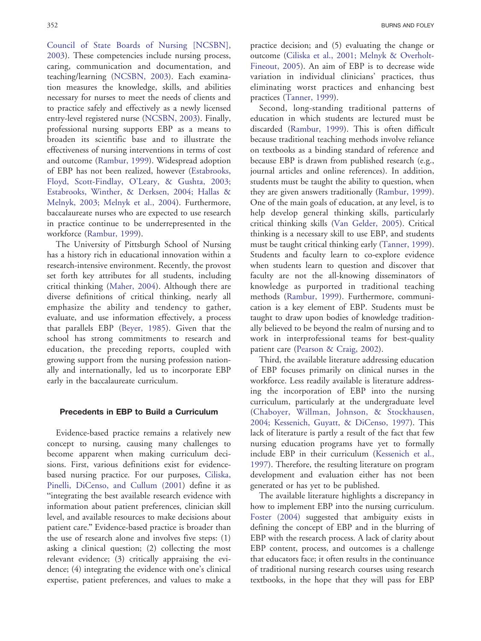Council of State Boards of Nursing [NCSBN], 2003). These competencies include nursing process, caring, comm[unication and d](#page-6-0)ocumentation, and teaching/learning (NCSBN, 2003). Each examination measures the knowledge, skills, and abilities necessary for nurses to meet the needs of clients and to practice safely and effectively as a newly licensed entry-level registered nur[se](#page-6-0) [\(NCSBN,](#page-6-0) [20](#page-6-0)03). Finally, professional nursing supports EBP as a means to broaden its scientific base and to illustrate the effectiveness of nursing interventions in terms of cost and outco[me](#page-6-0) [\(Rambur,](#page-6-0) [19](#page-6-0)99). Widespread adoption of EBP has not been realized, howev[er](#page-5-0) [\(Estabrooks,](#page-5-0) Floyd, Scott-Findlay, O'Leary, & Gushta, 2003; Estabrooks, Winther, & Derksen, 2004; Hallas & Melnyk, 2003; Melnyk et al., 2004). Furthermore, baccalaureate nurses who are expected to use research in practice continue to be underrepresented in the workfor[ce](#page-6-0) [\(Rambur,](#page-6-0) [19](#page-6-0)99).

The University of Pittsburgh School of Nursing has a history rich in educational innovation within a research-intensive environment. Recently, the provost set forth key attributes for all students, including critical thinki[ng](#page-6-0) [\(Maher,](#page-6-0) [20](#page-6-0)04). Although there are diverse definitions of critical thinking, nearly all emphasize the ability and tendency to gather, evaluate, and use information effectively, a process that parallels EB[P](#page-5-0) [\(Beyer,](#page-5-0) [19](#page-5-0)85). Given that the school has strong commitments to research and education, the preceding reports, coupled with growing support from the nursing profession nationally and internationally, led us to incorporate EBP early in the baccalaureate curriculum.

#### Precedents in EBP to Build a Curriculum

Evidence-based practice remains a relatively new concept to nursing, causing many challenges to become apparent when making curriculum decisions. First, various definitions exist for evidencebased nursing practice. For our purposes, [Ciliska,](#page-5-0) Pinelli, DiCenso, and Cullum (2001) define it as "integrating the best available research evidence with information about patient preferences, clinician skill level, and available resources to make decisions about patient care." Evidence-based practice is broader than the use of research alone and involves five steps: (1) asking a clinical question; (2) collecting the most relevant evidence; (3) critically appraising the evidence; (4) integrating the evidence with one's clinical expertise, patient preferences, and values to make a

practice d[ecision; and \(5\) evaluating the change or](#page-5-0) outcome (Ciliska et al., 2001; Melnyk & Overholt-Fineout, 2005). An aim of EBP is to decrease wide variation in individual clinicians' practices, thus eliminati[ng worst pra](#page-6-0)ctices and enhancing best practices (Tanner, 1999).

Second, long-standing traditional patterns of education in which students are lectured must be discarded [\(Rambur,](#page-6-0) [1999](#page-6-0)). This is often difficult because traditional teaching methods involve reliance on textbooks as a binding standard of reference and because EBP is drawn from published research (e.g., journal articles and online references). In addition, students must be taught the ability to question, when they are given answers traditionally ([Rambur,](#page-6-0) [1999\)](#page-6-0). One of the main goals of education, at any level, is to help develop general thinking skills, particularly critical thinking skills [\(Van](#page-6-0) [Gelder,](#page-6-0) [2005](#page-6-0)). Critical thinking is a necessary skill to use EBP, and students must be taught critical thinking early [\(Tanner,](#page-6-0) [1999\)](#page-6-0). Students and faculty learn to co-explore evidence when students learn to question and discover that faculty are not the all-knowing disseminators of knowledge as purported in traditional teaching methods [\(Rambur,](#page-6-0) [1999](#page-6-0)). Furthermore, communication is a key element of EBP. Students must be taught to draw upon bodies of knowledge traditionally believed to be beyond the realm of nursing and to work in interprofessional teams for best-quality patient care [\(Pearson](#page-6-0) [&](#page-6-0) [Craig,](#page-6-0) [2002](#page-6-0)).

Third, the available literature addressing education of EBP focuses primarily on clinical nurses in the workforce. Less readily available is literature addressing the incorporation of EBP into the nursing curriculum, particularly at the undergraduate level [\(Chaboyer,](#page-5-0) [Willman,](#page-5-0) [Johnson,](#page-5-0) [&](#page-5-0) [Stockhausen,](#page-5-0) 2004; Kessenich, Guyatt, & DiCenso, 1997). This lack of literature is partly a result of the fact that few nursing education programs have yet to formally include EBP in their curriculum ([Kessenich](#page-5-0) [et](#page-5-0) [al.,](#page-5-0) 1997). Therefore, the resulting literature on program development and evaluation either has not been generated or has yet to be published.

The available literature highlights a discrepancy in how to implement EBP into the nursing curriculum. [Foster](#page-5-0) [\(2004\)](#page-5-0) suggested that ambiguity exists in defining the concept of EBP and in the blurring of EBP with the research process. A lack of clarity about EBP content, process, and outcomes is a challenge that educators face; it often results in the continuance of traditional nursing research courses using research textbooks, in the hope that they will pass for EBP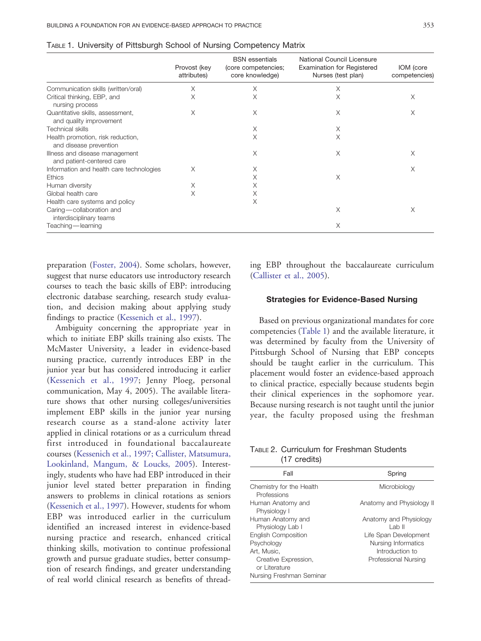|                                                             | Provost (key<br>attributes) | <b>BSN</b> essentials<br>(core competencies;<br>core knowledge) | National Council Licensure<br><b>Examination for Registered</b><br>Nurses (test plan) | IOM (core<br>competencies) |
|-------------------------------------------------------------|-----------------------------|-----------------------------------------------------------------|---------------------------------------------------------------------------------------|----------------------------|
| Communication skills (written/oral)                         | X                           | Χ                                                               | Χ                                                                                     |                            |
| Critical thinking, EBP, and<br>nursing process              | X                           | Χ                                                               | X                                                                                     | X                          |
| Quantitative skills, assessment,<br>and quality improvement | X                           | Χ                                                               | X                                                                                     | X                          |
| <b>Technical skills</b>                                     |                             | Χ                                                               | Χ                                                                                     |                            |
| Health promotion, risk reduction,<br>and disease prevention |                             | Χ                                                               | X                                                                                     |                            |
| Illness and disease management<br>and patient-centered care |                             | X                                                               | X                                                                                     | X                          |
| Information and health care technologies                    | X                           | Χ                                                               |                                                                                       | X                          |
| <b>Ethics</b>                                               |                             | Χ                                                               | X                                                                                     |                            |
| Human diversity                                             | Χ                           | Χ                                                               |                                                                                       |                            |
| Global health care                                          | X                           | Χ                                                               |                                                                                       |                            |
| Health care systems and policy                              |                             | Χ                                                               |                                                                                       |                            |
| Caring-collaboration and<br>interdisciplinary teams         |                             |                                                                 | X                                                                                     | Χ                          |
| Teaching — learning                                         |                             |                                                                 | X                                                                                     |                            |

<span id="page-2-0"></span>

|  | TABLE 1. University of Pittsburgh School of Nursing Competency Matrix |  |  |
|--|-----------------------------------------------------------------------|--|--|
|  |                                                                       |  |  |

preparatio[n](#page-5-0) [\(Foster,](#page-5-0) [200](#page-5-0)4). Some scholars, however, suggest that nurse educators use introductory research courses to teach the basic skills of EBP: introducing electronic database searching, research study evaluation, and decision making about applying study findings to practic[e](#page-5-0) [\(Kessenich](#page-5-0) [et](#page-5-0) [al.,](#page-5-0) [199](#page-5-0)7).

Ambiguity concerning the appropriate year in which to initiate EBP skills training also exists. The McMaster University, a leader in evidence-based nursing practice, currently introduces EBP in the junior year but has considered introducing it earlier [\(Kessenich](#page-5-0) [et](#page-5-0) [al.,](#page-5-0) [199](#page-5-0)7; Jenny Ploeg, personal communication, May 4, 2005). The available literature shows that other nursing colleges/universities implement EBP skills in the junior year nursing research course as a stand-alone activity later applied in clinical rotations or as a curriculum thread first introduced in foundational baccalaureate course[s](#page-5-0) [\(Kessenich](#page-5-0) [et](#page-5-0) [al.,](#page-5-0) [1997;](#page-5-0) [Callister,](#page-5-0) [Matsumura,](#page-5-0) Lookinland, Mangum, & Loucks, 2005). Interestingly, students who have had EBP introduced in their junior level stated better preparation in finding answers to problems in clinical rotations as seniors [\(Kessenich](#page-5-0) [et](#page-5-0) [al.,](#page-5-0) [199](#page-5-0)7). However, students for whom EBP was introduced earlier in the curriculum identified an increased interest in evidence-based nursing practice and research, enhanced critical thinking skills, motivation to continue professional growth and pursue graduate studies, better consumption of research findings, and greater understanding of real world clinical research as benefits of threading EBP throughout the baccalaureate curriculum ([Callister](#page-5-0) [et](#page-5-0) [al.,](#page-5-0) [2005\)](#page-5-0).

### Strategies for Evidence-Based Nursing

Based on previous organizational mandates for core competencies (Table 1) and the available literature, it was determined by faculty from the University of Pittsburgh School of Nursing that EBP concepts should be taught earlier in the curriculum. This placement would foster an evidence-based approach to clinical practice, especially because students begin their clinical experiences in the sophomore year. Because nursing research is not taught until the junior year, the faculty proposed using the freshman

| TABLE 2. Curriculum for Freshman Students |  |
|-------------------------------------------|--|
| $(17 \text{ credits})$                    |  |

| Fall                                                                                                                                      | Spring                                                                                                                       |
|-------------------------------------------------------------------------------------------------------------------------------------------|------------------------------------------------------------------------------------------------------------------------------|
| Chemistry for the Health<br>Professions                                                                                                   | Microbiology                                                                                                                 |
| Human Anatomy and<br>Physiology I                                                                                                         | Anatomy and Physiology II                                                                                                    |
| Human Anatomy and<br>Physiology Lab I<br><b>English Composition</b><br>Psychology<br>Art. Music.<br>Creative Expression,<br>or Literature | Anatomy and Physiology<br>l ab II<br>Life Span Development<br>Nursing Informatics<br>Introduction to<br>Professional Nursing |
| Nursing Freshman Seminar                                                                                                                  |                                                                                                                              |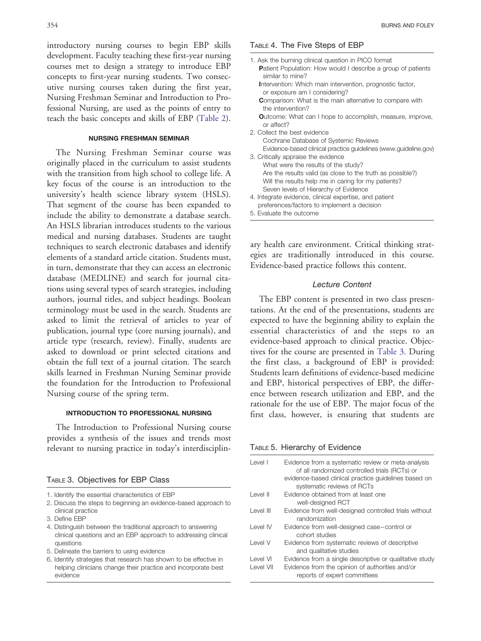<span id="page-3-0"></span>introductory nursing courses to begin EBP skills development. Faculty teaching these first-year nursing courses met to design a strategy to introduce EBP concepts to first-year nursing students. Two consecutive nursing courses taken during the first year, Nursing Freshman Seminar and Introduction to Professional Nursing, are used as the points of entry to teach the basic concepts and skills of EBP ([Table](#page-2-0) [2\)](#page-2-0).

#### NURSING FRESHMAN SEMINAR

The Nursing Freshman Seminar course was originally placed in the curriculum to assist students with the transition from high school to college life. A key focus of the course is an introduction to the university's health science library system (HSLS). That segment of the course has been expanded to include the ability to demonstrate a database search. An HSLS librarian introduces students to the various medical and nursing databases. Students are taught techniques to search electronic databases and identify elements of a standard article citation. Students must, in turn, demonstrate that they can access an electronic database (MEDLINE) and search for journal citations using several types of search strategies, including authors, journal titles, and subject headings. Boolean terminology must be used in the search. Students are asked to limit the retrieval of articles to year of publication, journal type (core nursing journals), and article type (research, review). Finally, students are asked to download or print selected citations and obtain the full text of a journal citation. The search skills learned in Freshman Nursing Seminar provide the foundation for the Introduction to Professional Nursing course of the spring term.

### INTRODUCTION TO PROFESSIONAL NURSING

The Introduction to Professional Nursing course provides a synthesis of the issues and trends most relevant to nursing practice in today's interdisciplin-

#### TABLE 3. Objectives for EBP Class

|  |  | 1. Identify the essential characteristics of EBP     |  |
|--|--|------------------------------------------------------|--|
|  |  | O. Disarras des ataca ta legalizatas en artikadas el |  |

- 2. Discuss the steps to beginning an evidence-based approach to clinical practice
- 3. Define EBP
- 4. Distinguish between the traditional approach to answering clinical questions and an EBP approach to addressing clinical questions
- 5. Delineate the barriers to using evidence
- 6. Identify strategies that research has shown to be effective in helping clinicians change their practice and incorporate best evidence

#### TABLE 4. The Five Steps of EBP

| 1. Ask the burning clinical question in PICO format                                        |
|--------------------------------------------------------------------------------------------|
| <b>Patient Population: How would I describe a group of patients</b><br>similar to mine?    |
| Intervention: Which main intervention, prognostic factor,<br>or exposure am I considering? |
| <b>Comparison:</b> What is the main alternative to compare with<br>the intervention?       |
| <b>O</b> utcome: What can I hope to accomplish, measure, improve,<br>or affect?            |
| 2. Collect the best evidence                                                               |
| Cochrane Database of Systemic Reviews                                                      |
| Evidence-based clinical practice guidelines (www.guideline.gov)                            |
| 3. Critically appraise the evidence                                                        |
| What were the results of the study?                                                        |
| Are the results valid (as close to the truth as possible?)                                 |
| Will the results help me in caring for my patients?                                        |
| Seven levels of Hierarchy of Evidence                                                      |
| 4. Integrate evidence, clinical expertise, and patient                                     |
| preferences/factors to implement a decision                                                |
| 5. Evaluate the outcome                                                                    |

ary health care environment. Critical thinking strategies are traditionally introduced in this course. Evidence-based practice follows this content.

#### Lecture Content

The EBP content is presented in two class presentations. At the end of the presentations, students are expected to have the beginning ability to explain the essential characteristics of and the steps to an evidence-based approach to clinical practice. Objectives for the course are presented in Table 3. During the first class, a background of EBP is provided: Students learn definitions of evidence-based medicine and EBP, historical perspectives of EBP, the difference between research utilization and EBP, and the rationale for the use of EBP. The major focus of the first class, however, is ensuring that students are

#### TABLE 5. Hierarchy of Evidence

| Level I               | Evidence from a systematic review or meta-analysis<br>of all randomized controlled trials (RCTs) or<br>evidence-based clinical practice quidelines based on<br>systematic reviews of RCTs |
|-----------------------|-------------------------------------------------------------------------------------------------------------------------------------------------------------------------------------------|
| Level II              | Evidence obtained from at least one                                                                                                                                                       |
|                       | well-designed RCT                                                                                                                                                                         |
| Level III             | Evidence from well-designed controlled trials without<br>randomization                                                                                                                    |
| I evel IV             | Evidence from well-designed case-control or<br>cohort studies                                                                                                                             |
| I evel V              | Evidence from systematic reviews of descriptive<br>and qualitative studies                                                                                                                |
| Level VI<br>Level VII | Evidence from a single descriptive or qualitative study<br>Evidence from the opinion of authorities and/or<br>reports of expert committees                                                |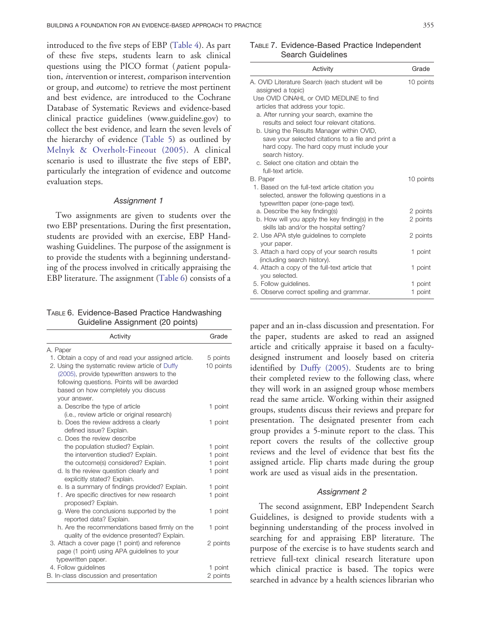<span id="page-4-0"></span>introduced to the five steps of EB[P](#page-3-0) [\(Table](#page-3-0) 4). As part of these five steps, students learn to ask clinical questions using the PICO format ( patient population, intervention or interest, comparison intervention or group, and outcome) to retrieve the most pertinent and best evidence, are introduced to the Cochrane Database of Systematic Reviews and evidence-based clinical practice guidelines (www.guideline.gov) to collect the best evidence, and learn the seven levels of the hierarchy of evidenc[e](#page-3-0) [\(Table](#page-3-0) 5) as outlined by [Melnyk](#page-6-0) [&](#page-6-0) [Overholt-Fineout](#page-6-0) [\(2005](#page-6-0)). A clinical scenario is used to illustrate the five steps of EBP, particularly the integration of evidence and outcome evaluation steps.

#### Assignment 1

Two assignments are given to students over the two EBP presentations. During the first presentation, students are provided with an exercise, EBP Handwashing Guidelines. The purpose of the assignment is to provide the students with a beginning understanding of the process involved in critically appraising the EBP literature. The assignment (Table 6) consists of a

TABLE 6. Evidence-Based Practice Handwashing Guideline Assignment (20 points)

| Activity                                                        | Grade               |  |  |  |
|-----------------------------------------------------------------|---------------------|--|--|--|
| A. Paper                                                        |                     |  |  |  |
| 1. Obtain a copy of and read your assigned article.             | 5 points            |  |  |  |
| 2. Using the systematic review article of Duffy                 | 10 points           |  |  |  |
| (2005), provide typewritten answers to the                      |                     |  |  |  |
| following questions. Points will be awarded                     |                     |  |  |  |
| based on how completely you discuss                             |                     |  |  |  |
| your answer.                                                    |                     |  |  |  |
| a. Describe the type of article                                 | 1 point             |  |  |  |
| (i.e., review article or original research)                     |                     |  |  |  |
| b. Does the review address a clearly                            | 1 point             |  |  |  |
| defined issue? Explain.                                         |                     |  |  |  |
| c. Does the review describe                                     |                     |  |  |  |
| the population studied? Explain.                                | 1 point             |  |  |  |
| the intervention studied? Explain.                              | 1 point             |  |  |  |
| the outcome(s) considered? Explain.                             | 1 point             |  |  |  |
| d. Is the review question clearly and                           | 1 point             |  |  |  |
| explicitly stated? Explain.                                     |                     |  |  |  |
| e. Is a summary of findings provided? Explain.                  | 1 point             |  |  |  |
| f. Are specific directives for new research                     | 1 point             |  |  |  |
| proposed? Explain.                                              |                     |  |  |  |
| g. Were the conclusions supported by the                        | 1 point             |  |  |  |
| reported data? Explain.                                         |                     |  |  |  |
| h. Are the recommendations based firmly on the                  | 1 point             |  |  |  |
| quality of the evidence presented? Explain.                     |                     |  |  |  |
| 3. Attach a cover page (1 point) and reference                  | 2 points            |  |  |  |
| page (1 point) using APA guidelines to your                     |                     |  |  |  |
| typewritten paper.                                              |                     |  |  |  |
| 4. Follow guidelines<br>B. In-class discussion and presentation | 1 point<br>2 points |  |  |  |
|                                                                 |                     |  |  |  |

## TABLE 7. Evidence-Based Practice Independent Search Guidelines

| Activity                                                                                   | Grade     |
|--------------------------------------------------------------------------------------------|-----------|
| A. OVID Literature Search (each student will be<br>assigned a topic)                       | 10 points |
| Use OVID CINAHL or OVID MEDLINE to find                                                    |           |
| articles that address your topic.                                                          |           |
| a. After running your search, examine the                                                  |           |
| results and select four relevant citations.                                                |           |
| b. Using the Results Manager within OVID,                                                  |           |
| save your selected citations to a file and print a                                         |           |
| hard copy. The hard copy must include your                                                 |           |
| search history.                                                                            |           |
| c. Select one citation and obtain the                                                      |           |
| full-text article.                                                                         |           |
| B. Paper                                                                                   | 10 points |
| 1. Based on the full-text article citation you                                             |           |
| selected, answer the following questions in a                                              |           |
| typewritten paper (one-page text).                                                         |           |
| a. Describe the key finding(s)                                                             | 2 points  |
| b. How will you apply the key finding(s) in the<br>skills lab and/or the hospital setting? | 2 points  |
| 2. Use APA style quidelines to complete                                                    | 2 points  |
| your paper.                                                                                |           |
| 3. Attach a hard copy of your search results                                               | 1 point   |
| (including search history).                                                                |           |
| 4. Attach a copy of the full-text article that                                             | 1 point   |
| you selected.                                                                              |           |
| 5. Follow guidelines.                                                                      | 1 point   |
| 6. Observe correct spelling and grammar.                                                   | 1 point   |

paper and an in-class discussion and presentation. For the paper, students are asked to read an assigned article and critically appraise it based on a facultydesigned instrument and loosely based on criteria identified by [Duffy](#page-5-0) [\(2005\).](#page-5-0) Students are to bring their completed review to the following class, where they will work in an assigned group whose members read the same article. Working within their assigned groups, students discuss their reviews and prepare for presentation. The designated presenter from each group provides a 5-minute report to the class. This report covers the results of the collective group reviews and the level of evidence that best fits the assigned article. Flip charts made during the group work are used as visual aids in the presentation.

#### Assignment 2

The second assignment, EBP Independent Search Guidelines, is designed to provide students with a beginning understanding of the process involved in searching for and appraising EBP literature. The purpose of the exercise is to have students search and retrieve full-text clinical research literature upon which clinical practice is based. The topics were searched in advance by a health sciences librarian who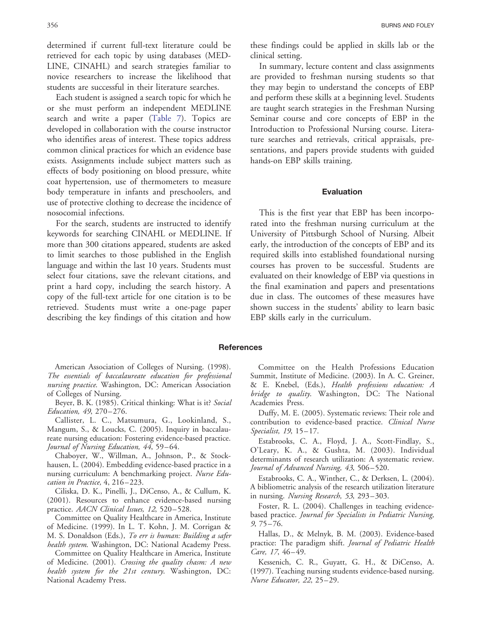<span id="page-5-0"></span>determined if current full-text literature could be retrieved for each topic by using databases (MED-LINE, CINAHL) and search strategies familiar to novice researchers to increase the likelihood that students are successful in their literature searches.

Each student is assigned a search topic for which he or she must perform an independent MEDLINE search and write a paper ([Table 7\)](#page-4-0). Topics are developed in collaboration with the course instructor who identifies areas of interest. These topics address common clinical practices for which an evidence base exists. Assignments include subject matters such as effects of body positioning on blood pressure, white coat hypertension, use of thermometers to measure body temperature in infants and preschoolers, and use of protective clothing to decrease the incidence of nosocomial infections.

For the search, students are instructed to identify keywords for searching CINAHL or MEDLINE. If more than 300 citations appeared, students are asked to limit searches to those published in the English language and within the last 10 years. Students must select four citations, save the relevant citations, and print a hard copy, including the search history. A copy of the full-text article for one citation is to be retrieved. Students must write a one-page paper describing the key findings of this citation and how

American Association of Colleges of Nursing. (1998). The essentials of baccalaureate education for professional nursing practice. Washington, DC: American Association of Colleges of Nursing.

Beyer, B. K. (1985). Critical thinking: What is it? Social Education, 49, 270–276.

Callister, L. C., Matsumura, G., Lookinland, S., Mangum, S., & Loucks, C. (2005). Inquiry in baccalaureate nursing education: Fostering evidence-based practice. Journal of Nursing Education, 44, 59–64.

Chaboyer, W., Willman, A., Johnson, P., & Stockhausen, L. (2004). Embedding evidence-based practice in a nursing curriculum: A benchmarking project. Nurse Education in Practice, 4, 216–223.

Ciliska, D. K., Pinelli, J., DiCenso, A., & Cullum, K. (2001). Resources to enhance evidence-based nursing practice. AACN Clinical Issues, 12, 520–528.

Committee on Quality Healthcare in America, Institute of Medicine. (1999). In L. T. Kohn, J. M. Corrigan & M. S. Donaldson (Eds.), To err is human: Building a safer health system. Washington, DC: National Academy Press.

Committee on Quality Healthcare in America, Institute of Medicine. (2001). Crossing the quality chasm: A new health system for the 21st century. Washington, DC: National Academy Press.

these findings could be applied in skills lab or the clinical setting.

In summary, lecture content and class assignments are provided to freshman nursing students so that they may begin to understand the concepts of EBP and perform these skills at a beginning level. Students are taught search strategies in the Freshman Nursing Seminar course and core concepts of EBP in the Introduction to Professional Nursing course. Literature searches and retrievals, critical appraisals, presentations, and papers provide students with guided hands-on EBP skills training.

#### Evaluation

This is the first year that EBP has been incorporated into the freshman nursing curriculum at the University of Pittsburgh School of Nursing. Albeit early, the introduction of the concepts of EBP and its required skills into established foundational nursing courses has proven to be successful. Students are evaluated on their knowledge of EBP via questions in the final examination and papers and presentations due in class. The outcomes of these measures have shown success in the students' ability to learn basic EBP skills early in the curriculum.

#### **References**

Committee on the Health Professions Education Summit, Institute of Medicine. (2003). In A. C. Greiner, & E. Knebel, (Eds.), Health professions education: A bridge to quality. Washington, DC: The National Academies Press.

Duffy, M. E. (2005). Systematic reviews: Their role and contribution to evidence-based practice. Clinical Nurse Specialist, 19, 15–17.

Estabrooks, C. A., Floyd, J. A., Scott-Findlay, S., O'Leary, K. A., & Gushta, M. (2003). Individual determinants of research utilization: A systematic review. Journal of Advanced Nursing, 43, 506–520.

Estabrooks, C. A., Winther, C., & Derksen, L. (2004). A bibliometric analysis of the research utilization literature in nursing. Nursing Research, 53, 293-303.

Foster, R. L. (2004). Challenges in teaching evidencebased practice. Journal for Specialists in Pediatric Nursing, 9, 75–76.

Hallas, D., & Melnyk, B. M. (2003). Evidence-based practice: The paradigm shift. Journal of Pediatric Health Care, 17, 46–49.

Kessenich, C. R., Guyatt, G. H., & DiCenso, A. (1997). Teaching nursing students evidence-based nursing. Nurse Educator, 22, 25–29.